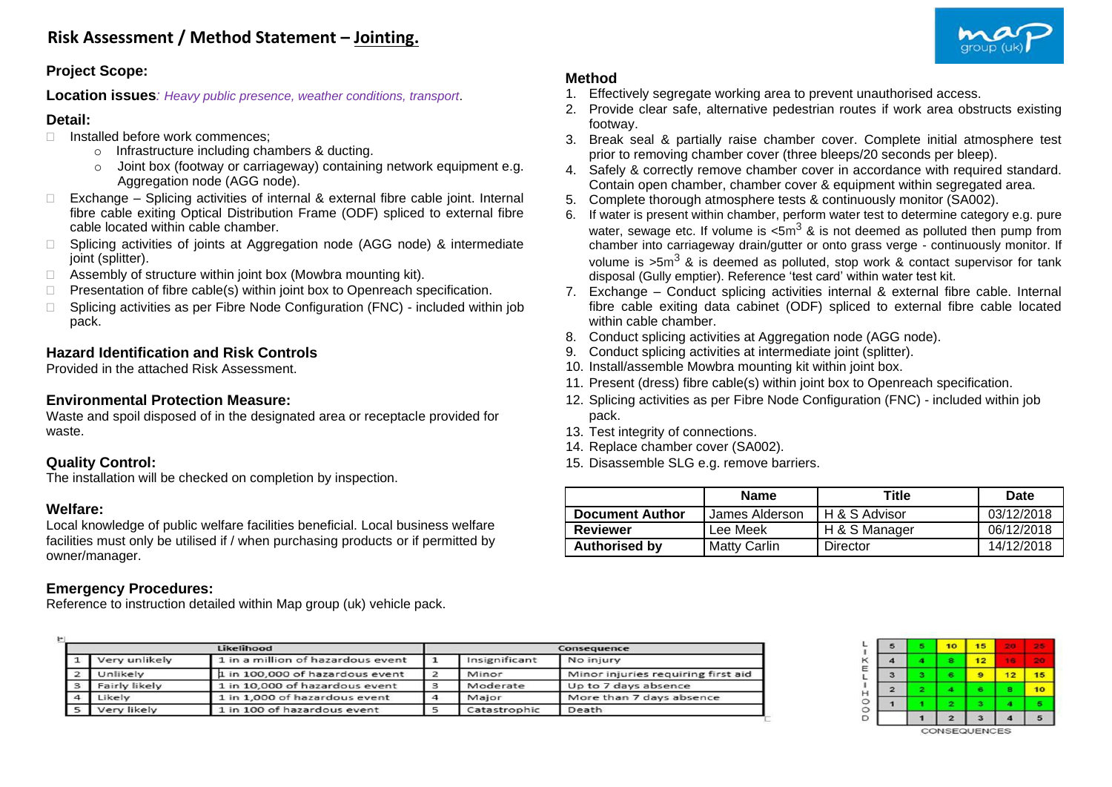### **Project Scope:**

**Location issues***: Heavy public presence, weather conditions, transport*.

### **Detail:**

- $\Box$  Installed before work commences;
	- o Infrastructure including chambers & ducting.
	- o Joint box (footway or carriageway) containing network equipment e.g. Aggregation node (AGG node).
- $\Box$  Exchange Splicing activities of internal & external fibre cable joint. Internal fibre cable exiting Optical Distribution Frame (ODF) spliced to external fibre cable located within cable chamber.
- □ Splicing activities of joints at Aggregation node (AGG node) & intermediate joint (splitter).
- $\Box$  Assembly of structure within joint box (Mowbra mounting kit).
- $\Box$  Presentation of fibre cable(s) within joint box to Openreach specification.
- $\Box$  Splicing activities as per Fibre Node Configuration (FNC) included within job pack.

# **Hazard Identification and Risk Controls**

Provided in the attached Risk Assessment.

### **Environmental Protection Measure:**

Waste and spoil disposed of in the designated area or receptacle provided for waste.

### **Quality Control:**

The installation will be checked on completion by inspection.

#### **Welfare:**

 $H$ 

Local knowledge of public welfare facilities beneficial. Local business welfare facilities must only be utilised if / when purchasing products or if permitted by owner/manager.

# **Emergency Procedures:**

Reference to instruction detailed within Map group (uk) vehicle pack.

# **Method**

- 1. Effectively segregate working area to prevent unauthorised access.
- 2. Provide clear safe, alternative pedestrian routes if work area obstructs existing footway.
- 3. Break seal & partially raise chamber cover. Complete initial atmosphere test prior to removing chamber cover (three bleeps/20 seconds per bleep).
- 4. Safely & correctly remove chamber cover in accordance with required standard. Contain open chamber, chamber cover & equipment within segregated area.
- 5. Complete thorough atmosphere tests & continuously monitor (SA002).
- 6. If water is present within chamber, perform water test to determine category e.g. pure water, sewage etc. If volume is  $\text{5m}^3$  & is not deemed as polluted then pump from chamber into carriageway drain/gutter or onto grass verge - continuously monitor. If volume is  $>5m^3$  & is deemed as polluted, stop work & contact supervisor for tank disposal (Gully emptier). Reference 'test card' within water test kit.
- 7. Exchange Conduct splicing activities internal & external fibre cable. Internal fibre cable exiting data cabinet (ODF) spliced to external fibre cable located within cable chamber.
- 8. Conduct splicing activities at Aggregation node (AGG node).
- 9. Conduct splicing activities at intermediate joint (splitter).
- 10. Install/assemble Mowbra mounting kit within joint box.
- 11. Present (dress) fibre cable(s) within joint box to Openreach specification.
- 12. Splicing activities as per Fibre Node Configuration (FNC) included within job pack.
- 13. Test integrity of connections.
- 14. Replace chamber cover (SA002).
- 15. Disassemble SLG e.g. remove barriers.

|                        | <b>Name</b>         | Title         | Date       |
|------------------------|---------------------|---------------|------------|
| <b>Document Author</b> | James Alderson      | H & S Advisor | 03/12/2018 |
| <b>Reviewer</b>        | Lee Meek            | H & S Manager | 06/12/2018 |
| <b>Authorised by</b>   | <b>Matty Carlin</b> | Director      | 14/12/2018 |

|               | Likelihood                        | Consequence   |                                    |  |  |  |
|---------------|-----------------------------------|---------------|------------------------------------|--|--|--|
| Very unlikely | 1 in a million of hazardous event | Insignificant | No injury                          |  |  |  |
| Unlikely      | 1 in 100,000 of hazardous event   | Minor         | Minor injuries requiring first aid |  |  |  |
| Fairly likely | 1 in 10,000 of hazardous event    | Moderate      | Up to 7 days absence               |  |  |  |
| Likely        | 1 in 1,000 of hazardous event     | Major         | More than 7 days absence           |  |  |  |
| Very likely   | 1 in 100 of hazardous event       | Catastrophic  | Death                              |  |  |  |



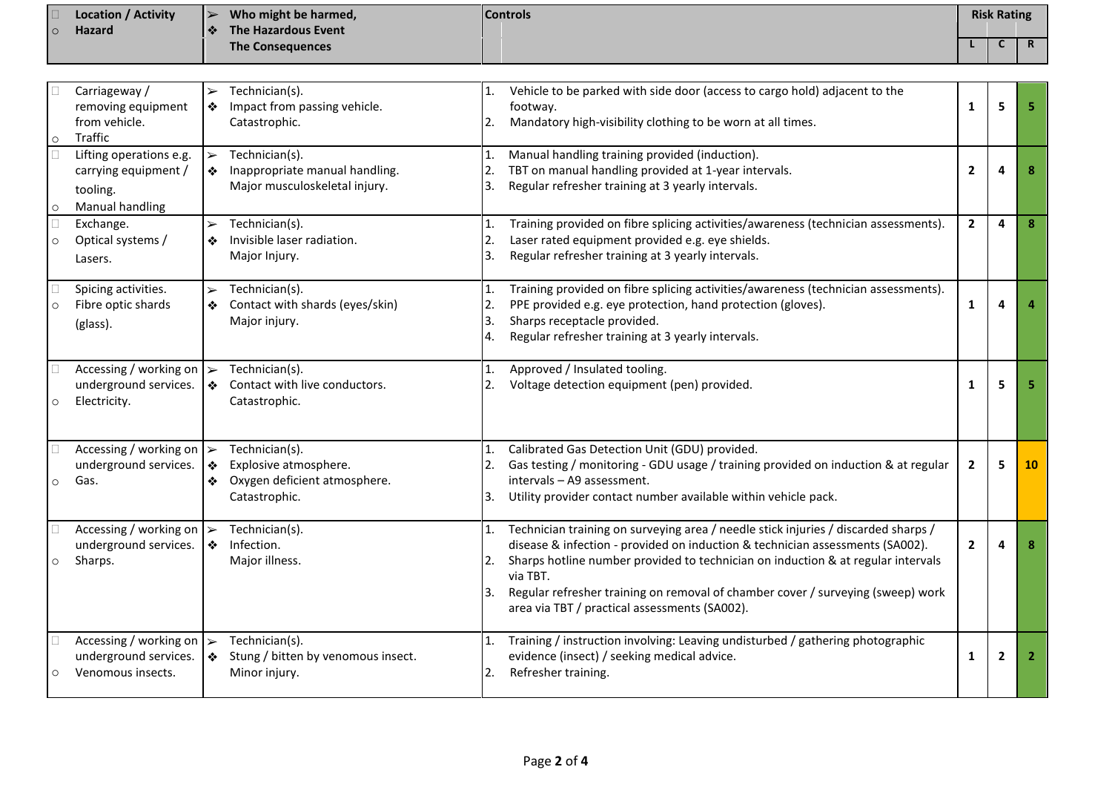|         | <b>Location / Activity</b> | ∣➤                | Who might be harmed,    | <b>Controls</b> | <b>Risk Rating</b> |  |
|---------|----------------------------|-------------------|-------------------------|-----------------|--------------------|--|
| $\circ$ | <b>Hazard</b>              | $\bullet \bullet$ | The Hazardous Event     |                 |                    |  |
|         |                            |                   | <b>The Consequences</b> |                 |                    |  |

| $\circ$                 | Carriageway /<br>removing equipment<br>from vehicle.<br>Traffic                  | $\blacktriangleright$<br>❖              | Technician(s).<br>Impact from passing vehicle.<br>Catastrophic.                          | 1.<br>2.             | Vehicle to be parked with side door (access to cargo hold) adjacent to the<br>footway.<br>Mandatory high-visibility clothing to be worn at all times.                                                                                                                                                                                                                                                   | 1              | 5              | 5              |
|-------------------------|----------------------------------------------------------------------------------|-----------------------------------------|------------------------------------------------------------------------------------------|----------------------|---------------------------------------------------------------------------------------------------------------------------------------------------------------------------------------------------------------------------------------------------------------------------------------------------------------------------------------------------------------------------------------------------------|----------------|----------------|----------------|
| $\mathbf{L}$<br>$\circ$ | Lifting operations e.g.<br>carrying equipment /<br>tooling.<br>Manual handling   | $\blacktriangleright$<br>❖              | Technician(s).<br>Inappropriate manual handling.<br>Major musculoskeletal injury.        | 1.<br>2.<br>3.       | Manual handling training provided (induction).<br>TBT on manual handling provided at 1-year intervals.<br>Regular refresher training at 3 yearly intervals.                                                                                                                                                                                                                                             | $\overline{2}$ | 4              | 8              |
| $\circ$                 | Exchange.<br>Optical systems /<br>Lasers.                                        | $\blacktriangleright$<br>❖              | Technician(s).<br>Invisible laser radiation.<br>Major Injury.                            | 1.<br>2.<br>3.       | Training provided on fibre splicing activities/awareness (technician assessments).<br>Laser rated equipment provided e.g. eye shields.<br>Regular refresher training at 3 yearly intervals.                                                                                                                                                                                                             | $\overline{2}$ | 4              | 8              |
| $\circ$                 | Spicing activities.<br>Fibre optic shards<br>(glass).                            | $\blacktriangleright$<br>❖              | Technician(s).<br>Contact with shards (eyes/skin)<br>Major injury.                       | 1.<br>3.<br>4.       | Training provided on fibre splicing activities/awareness (technician assessments).<br>PPE provided e.g. eye protection, hand protection (gloves).<br>Sharps receptacle provided.<br>Regular refresher training at 3 yearly intervals.                                                                                                                                                                   | $\mathbf{1}$   | 4              |                |
| $\circ$                 | Accessing / working on $\triangleright$<br>underground services.<br>Electricity. | ❖                                       | Technician(s).<br>Contact with live conductors.<br>Catastrophic.                         | $\mathbf{1}$ .<br>2. | Approved / Insulated tooling.<br>Voltage detection equipment (pen) provided.                                                                                                                                                                                                                                                                                                                            | 1              | 5              | 5              |
| $\circ$                 | Accessing / working on<br>underground services.<br>Gas.                          | $\blacktriangleright$<br>$\bullet$<br>❖ | Technician(s).<br>Explosive atmosphere.<br>Oxygen deficient atmosphere.<br>Catastrophic. | 1.<br>2.<br>3.       | Calibrated Gas Detection Unit (GDU) provided.<br>Gas testing / monitoring - GDU usage / training provided on induction & at regular<br>intervals - A9 assessment.<br>Utility provider contact number available within vehicle pack.                                                                                                                                                                     | $\overline{2}$ | 5              | 10             |
| $\circ$                 | Accessing / working on $\triangleright$<br>underground services.<br>Sharps.      | $\frac{1}{2}$                           | Technician(s).<br>Infection.<br>Major illness.                                           | 1.<br>2.<br>l3.      | Technician training on surveying area / needle stick injuries / discarded sharps /<br>disease & infection - provided on induction & technician assessments (SA002).<br>Sharps hotline number provided to technician on induction & at regular intervals<br>via TBT.<br>Regular refresher training on removal of chamber cover / surveying (sweep) work<br>area via TBT / practical assessments (SA002). | $\overline{2}$ | 4              | 8              |
| $\circ$                 | Accessing / working on<br>underground services.<br>Venomous insects.             | $\blacktriangleright$<br>❖              | Technician(s).<br>Stung / bitten by venomous insect.<br>Minor injury.                    | 1.<br>2.             | Training / instruction involving: Leaving undisturbed / gathering photographic<br>evidence (insect) / seeking medical advice.<br>Refresher training.                                                                                                                                                                                                                                                    | 1              | $\overline{2}$ | $\overline{2}$ |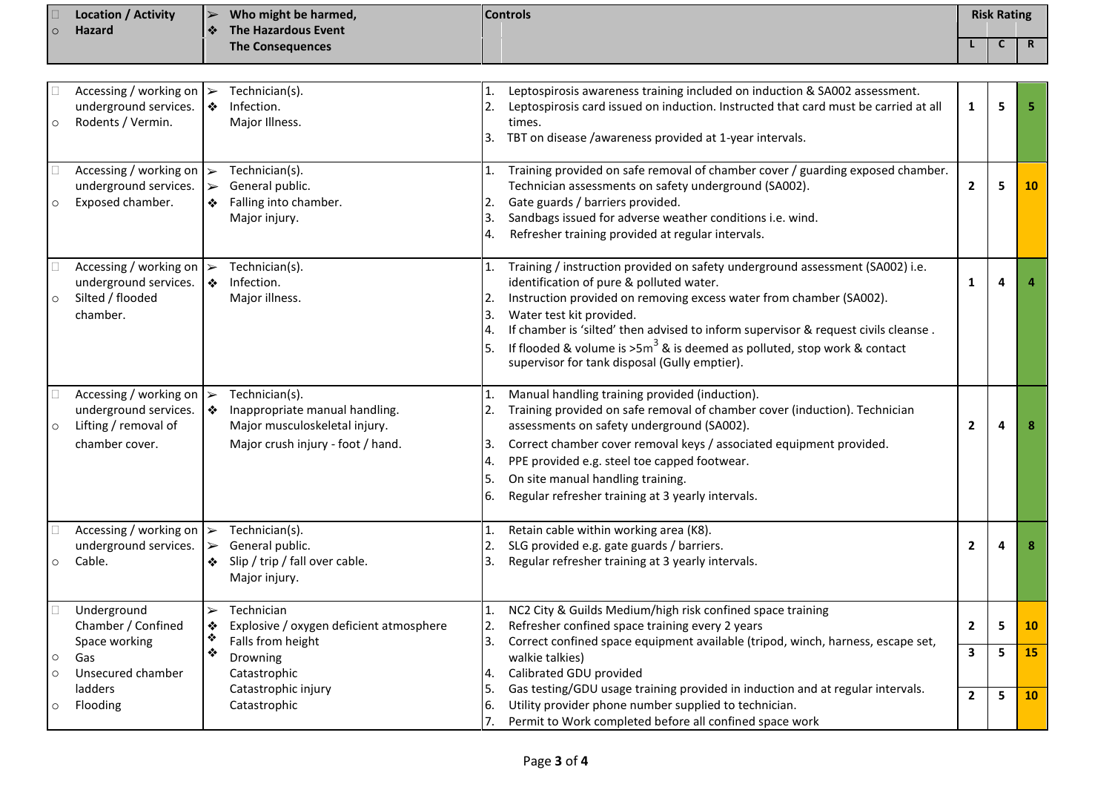|         | <b>Location / Activity</b> | Who might be harmed,<br>$\rightarrow$ | <b>Controls</b> | <b>Risk Rating</b> |  |
|---------|----------------------------|---------------------------------------|-----------------|--------------------|--|
| $\circ$ | Hazard                     | The Hazardous Event<br>$\mathbf{A}$   |                 |                    |  |
|         |                            | <b>The Consequences</b>               |                 |                    |  |

| $\circ$            | Accessing / working on $\triangleright$<br>underground services.<br>Rodents / Vermin.     |                                                     | Technician(s).<br>Infection.<br>Major Illness.                                                                                | 1.<br>3.                         | Leptospirosis awareness training included on induction & SA002 assessment.<br>Leptospirosis card issued on induction. Instructed that card must be carried at all<br>times.<br>TBT on disease /awareness provided at 1-year intervals.                                                                                                                                                                                                             | $\mathbf{1}$                              | 5      | 5        |
|--------------------|-------------------------------------------------------------------------------------------|-----------------------------------------------------|-------------------------------------------------------------------------------------------------------------------------------|----------------------------------|----------------------------------------------------------------------------------------------------------------------------------------------------------------------------------------------------------------------------------------------------------------------------------------------------------------------------------------------------------------------------------------------------------------------------------------------------|-------------------------------------------|--------|----------|
| $\circ$            | Accessing / working on<br>underground services.<br>Exposed chamber.                       | $\blacktriangleright$<br>$\blacktriangleright$<br>❖ | Technician(s).<br>General public.<br>Falling into chamber.<br>Major injury.                                                   | 1.<br>2.<br>3.<br>4.             | Training provided on safe removal of chamber cover / guarding exposed chamber.<br>Technician assessments on safety underground (SA002).<br>Gate guards / barriers provided.<br>Sandbags issued for adverse weather conditions i.e. wind.<br>Refresher training provided at regular intervals.                                                                                                                                                      | $\overline{2}$                            | 5      | 10       |
| $\circ$            | Accessing / working on $\ge$<br>underground services.<br>Silted / flooded<br>chamber.     | ❖                                                   | Technician(s).<br>Infection.<br>Major illness.                                                                                | 1.<br>2.<br>3.<br>4.<br>5.       | Training / instruction provided on safety underground assessment (SA002) i.e.<br>identification of pure & polluted water.<br>Instruction provided on removing excess water from chamber (SA002).<br>Water test kit provided.<br>If chamber is 'silted' then advised to inform supervisor & request civils cleanse.<br>If flooded & volume is $>5m^3$ & is deemed as polluted, stop work & contact<br>supervisor for tank disposal (Gully emptier). | $\mathbf{1}$                              | 4      | 4        |
| $\circ$            | Accessing / working on<br>underground services.<br>Lifting / removal of<br>chamber cover. | $\blacktriangleright$<br>❖                          | Technician(s).<br>Inappropriate manual handling.<br>Major musculoskeletal injury.<br>Major crush injury - foot / hand.        | 1.<br>2.<br>3.<br>4.<br>5.<br>6. | Manual handling training provided (induction).<br>Training provided on safe removal of chamber cover (induction). Technician<br>assessments on safety underground (SA002).<br>Correct chamber cover removal keys / associated equipment provided.<br>PPE provided e.g. steel toe capped footwear.<br>On site manual handling training.<br>Regular refresher training at 3 yearly intervals.                                                        | $\mathbf{2}$                              | 4      | 8        |
| $\circ$            | Accessing / working on $\triangleright$<br>underground services.<br>Cable.                | $\blacktriangleright$<br>❖                          | Technician(s).<br>General public.<br>Slip / trip / fall over cable.<br>Major injury.                                          | $\mathbf{1}$ .<br>2.<br>3.       | Retain cable within working area (K8).<br>SLG provided e.g. gate guards / barriers.<br>Regular refresher training at 3 yearly intervals.                                                                                                                                                                                                                                                                                                           | $\overline{\mathbf{2}}$                   | 4      | 8        |
| $\circ$<br>$\circ$ | Underground<br>Chamber / Confined<br>Space working<br>Gas<br>Unsecured chamber<br>ladders | $\blacktriangleright$<br>❖<br>❖<br>❖                | Technician<br>Explosive / oxygen deficient atmosphere<br>Falls from height<br>Drowning<br>Catastrophic<br>Catastrophic injury | 1.<br>2.<br>3.<br>4.<br>5.       | NC2 City & Guilds Medium/high risk confined space training<br>Refresher confined space training every 2 years<br>Correct confined space equipment available (tripod, winch, harness, escape set,<br>walkie talkies)<br>Calibrated GDU provided<br>Gas testing/GDU usage training provided in induction and at regular intervals.                                                                                                                   | $\overline{2}$<br>$\overline{\mathbf{3}}$ | 5<br>5 | 10<br>15 |
| $\circ$            | Flooding                                                                                  |                                                     | Catastrophic                                                                                                                  | 6.<br>7.                         | Utility provider phone number supplied to technician.<br>Permit to Work completed before all confined space work                                                                                                                                                                                                                                                                                                                                   | $\overline{2}$                            | 5      | 10       |